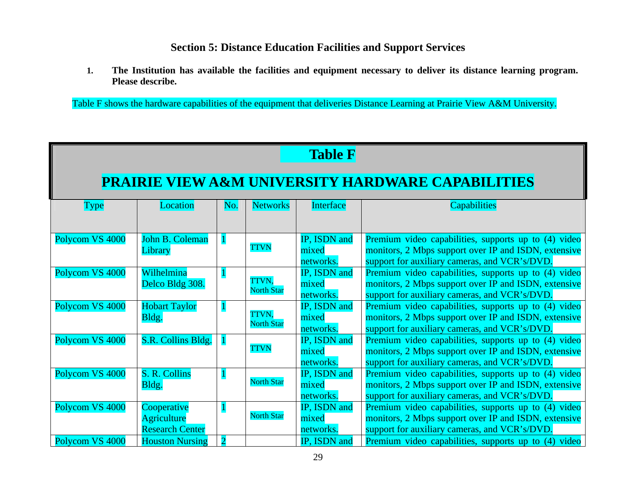## **Section 5: Distance Education Facilities and Support Services**

**1. The Institution has available the facilities and equipment necessary to deliver its distance learning program. Please describe.** 

Table F shows the hardware capabilities of the equipment that deliveries Distance Learning at Prairie View A&M University.

## **Table F**

## **PRAIRIE VIEW A&M UNIVERSITY HARDWARE CAPABILITIES**

| Type            | Location               | No. | <b>Networks</b>   | Interface    | <b>Capabilities</b>                                  |
|-----------------|------------------------|-----|-------------------|--------------|------------------------------------------------------|
|                 |                        |     |                   |              |                                                      |
|                 |                        |     |                   |              |                                                      |
| Polycom VS 4000 | John B. Coleman        |     |                   | IP, ISDN and | Premium video capabilities, supports up to (4) video |
|                 | Library                |     | <b>TTVN</b>       | mixed        | monitors, 2 Mbps support over IP and ISDN, extensive |
|                 |                        |     |                   | networks.    | support for auxiliary cameras, and VCR's/DVD.        |
| Polycom VS 4000 | Wilhelmina             |     |                   | IP, ISDN and | Premium video capabilities, supports up to (4) video |
|                 | Delco Bldg 308.        |     | TTVN,             | mixed        | monitors, 2 Mbps support over IP and ISDN, extensive |
|                 |                        |     | <b>North Star</b> | networks.    | support for auxiliary cameras, and VCR's/DVD.        |
| Polycom VS 4000 | <b>Hobart Taylor</b>   |     |                   | IP, ISDN and | Premium video capabilities, supports up to (4) video |
|                 | Bldg.                  |     | TTVN,             | mixed        | monitors, 2 Mbps support over IP and ISDN, extensive |
|                 |                        |     | <b>North Star</b> | networks.    | support for auxiliary cameras, and VCR's/DVD.        |
| Polycom VS 4000 | S.R. Collins Bldg.     |     |                   | IP, ISDN and | Premium video capabilities, supports up to (4) video |
|                 |                        |     | <b>TTVN</b>       | mixed        | monitors, 2 Mbps support over IP and ISDN, extensive |
|                 |                        |     |                   | networks.    | support for auxiliary cameras, and VCR's/DVD.        |
| Polycom VS 4000 | S. R. Collins          |     |                   | IP, ISDN and | Premium video capabilities, supports up to (4) video |
|                 | Bldg.                  |     | <b>North Star</b> | mixed        | monitors, 2 Mbps support over IP and ISDN, extensive |
|                 |                        |     |                   | networks.    | support for auxiliary cameras, and VCR's/DVD.        |
| Polycom VS 4000 | Cooperative            |     |                   | IP, ISDN and | Premium video capabilities, supports up to (4) video |
|                 | Agriculture            |     | <b>North Star</b> | mixed        | monitors, 2 Mbps support over IP and ISDN, extensive |
|                 | <b>Research Center</b> |     |                   | networks.    | support for auxiliary cameras, and VCR's/DVD.        |
| Polycom VS 4000 | <b>Houston Nursing</b> |     |                   | IP, ISDN and | Premium video capabilities, supports up to (4) video |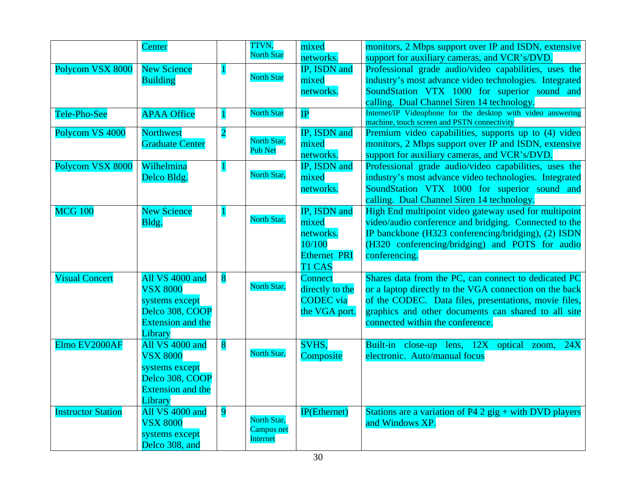|                           | Center                   |                         | TTVN,             | mixed               | monitors, 2 Mbps support over IP and ISDN, extensive                                                       |
|---------------------------|--------------------------|-------------------------|-------------------|---------------------|------------------------------------------------------------------------------------------------------------|
|                           |                          |                         | <b>North Star</b> | networks.           | support for auxiliary cameras, and VCR's/DVD.                                                              |
| Polycom VSX 8000          | <b>New Science</b>       |                         |                   | IP, ISDN and        | Professional grade audio/video capabilities, uses the                                                      |
|                           | <b>Building</b>          |                         | <b>North Star</b> | mixed               | industry's most advance video technologies. Integrated                                                     |
|                           |                          |                         |                   | networks.           | SoundStation VTX 1000 for superior sound and                                                               |
|                           |                          |                         |                   |                     | calling. Dual Channel Siren 14 technology.                                                                 |
| Tele-Pho-See              | <b>APAA Office</b>       |                         | <b>North Star</b> | IP                  | Internet/IP Videophone for the desktop with video answering<br>machine, touch screen and PSTN connectivity |
| Polycom VS 4000           | <b>Northwest</b>         | $\overline{2}$          |                   | IP, ISDN and        | Premium video capabilities, supports up to (4) video                                                       |
|                           | <b>Graduate Center</b>   |                         | North Star,       | mixed               | monitors, 2 Mbps support over IP and ISDN, extensive                                                       |
|                           |                          |                         | <b>Pub Net</b>    | networks.           | support for auxiliary cameras, and VCR's/DVD.                                                              |
| Polycom VSX 8000          | Wilhelmina               |                         |                   | IP, ISDN and        | Professional grade audio/video capabilities, uses the                                                      |
|                           | Delco Bldg.              |                         | North Star,       | mixed               | industry's most advance video technologies. Integrated                                                     |
|                           |                          |                         |                   | networks.           | SoundStation VTX 1000 for superior sound and                                                               |
|                           |                          |                         |                   |                     | calling. Dual Channel Siren 14 technology.                                                                 |
| <b>MCG 100</b>            | <b>New Science</b>       |                         |                   | IP, ISDN and        | High End multipoint video gateway used for multipoint                                                      |
|                           | Bldg.                    |                         | North Star,       | mixed               | video/audio conference and bridging. Connected to the                                                      |
|                           |                          |                         |                   | networks.           | IP banckbone (H323 conferencing/bridging), (2) ISDN                                                        |
|                           |                          |                         |                   | 10/100              | (H320 conferencing/bridging) and POTS for audio                                                            |
|                           |                          |                         |                   | <b>Ethernet PRI</b> | conferencing.                                                                                              |
|                           |                          |                         |                   | T1 CAS              |                                                                                                            |
| <b>Visual Concert</b>     | All VS 4000 and          | 8                       |                   | <b>Connect</b>      | Shares data from the PC, can connect to dedicated PC                                                       |
|                           | <b>VSX 8000</b>          |                         | North Star,       | directly to the     | or a laptop directly to the VGA connection on the back                                                     |
|                           | systems except           |                         |                   | <b>CODEC</b> via    | of the CODEC. Data files, presentations, movie files,                                                      |
|                           | Delco 308, COOP          |                         |                   | the VGA port.       | graphics and other documents can shared to all site                                                        |
|                           | <b>Extension and the</b> |                         |                   |                     | connected within the conference.                                                                           |
|                           | Library                  |                         |                   |                     |                                                                                                            |
| Elmo EV2000AF             | All VS 4000 and          | $\overline{\mathbf{8}}$ |                   | SVHS,               | Built-in close-up lens, 12X optical zoom,<br>24X                                                           |
|                           | <b>VSX 8000</b>          |                         | North Star,       | Composite           | electronic. Auto/manual focus                                                                              |
|                           | systems except           |                         |                   |                     |                                                                                                            |
|                           | Delco 308, COOP          |                         |                   |                     |                                                                                                            |
|                           | <b>Extension and the</b> |                         |                   |                     |                                                                                                            |
|                           | Library                  |                         |                   |                     |                                                                                                            |
| <b>Instructor Station</b> | All VS 4000 and          | $\overline{9}$          | North Star,       | <b>IP(Ethernet)</b> | Stations are a variation of P4 2 gig $+$ with DVD players                                                  |
|                           | <b>VSX 8000</b>          |                         | <b>Campus</b> net |                     | and Windows XP.                                                                                            |
|                           | systems except           |                         | Internet          |                     |                                                                                                            |
|                           | Delco 308, and           |                         |                   |                     |                                                                                                            |